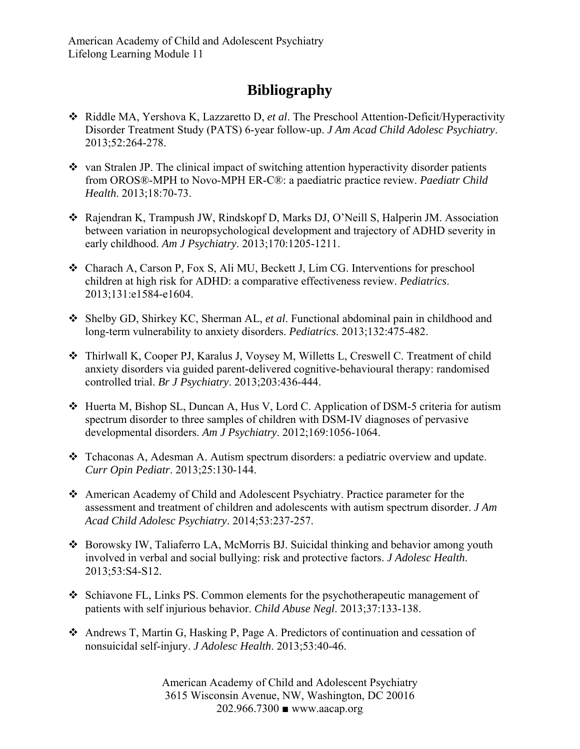## **Bibliography**

- Riddle MA, Yershova K, Lazzaretto D, *et al*. The Preschool Attention-Deficit/Hyperactivity Disorder Treatment Study (PATS) 6-year follow-up. *J Am Acad Child Adolesc Psychiatry*. 2013;52:264-278.
- $\cdot$  van Stralen JP. The clinical impact of switching attention hyperactivity disorder patients from OROS®-MPH to Novo-MPH ER-C®: a paediatric practice review. *Paediatr Child Health*. 2013;18:70-73.
- Rajendran K, Trampush JW, Rindskopf D, Marks DJ, O'Neill S, Halperin JM. Association between variation in neuropsychological development and trajectory of ADHD severity in early childhood. *Am J Psychiatry*. 2013;170:1205-1211.
- Charach A, Carson P, Fox S, Ali MU, Beckett J, Lim CG. Interventions for preschool children at high risk for ADHD: a comparative effectiveness review. *Pediatrics*. 2013;131:e1584-e1604.
- Shelby GD, Shirkey KC, Sherman AL, *et al*. Functional abdominal pain in childhood and long-term vulnerability to anxiety disorders. *Pediatrics*. 2013;132:475-482.
- Thirlwall K, Cooper PJ, Karalus J, Voysey M, Willetts L, Creswell C. Treatment of child anxiety disorders via guided parent-delivered cognitive-behavioural therapy: randomised controlled trial. *Br J Psychiatry*. 2013;203:436-444.
- Huerta M, Bishop SL, Duncan A, Hus V, Lord C. Application of DSM-5 criteria for autism spectrum disorder to three samples of children with DSM-IV diagnoses of pervasive developmental disorders. *Am J Psychiatry*. 2012;169:1056-1064.
- $\div$  Tchaconas A, Adesman A. Autism spectrum disorders: a pediatric overview and update. *Curr Opin Pediatr*. 2013;25:130-144.
- American Academy of Child and Adolescent Psychiatry. Practice parameter for the assessment and treatment of children and adolescents with autism spectrum disorder. *J Am Acad Child Adolesc Psychiatry*. 2014;53:237-257.
- \* Borowsky IW, Taliaferro LA, McMorris BJ. Suicidal thinking and behavior among youth involved in verbal and social bullying: risk and protective factors. *J Adolesc Health*. 2013;53:S4-S12.
- Schiavone FL, Links PS. Common elements for the psychotherapeutic management of patients with self injurious behavior. *Child Abuse Negl*. 2013;37:133-138.
- Andrews T, Martin G, Hasking P, Page A. Predictors of continuation and cessation of nonsuicidal self-injury. *J Adolesc Health*. 2013;53:40-46.

American Academy of Child and Adolescent Psychiatry 3615 Wisconsin Avenue, NW, Washington, DC 20016 202.966.7300 ■ www.aacap.org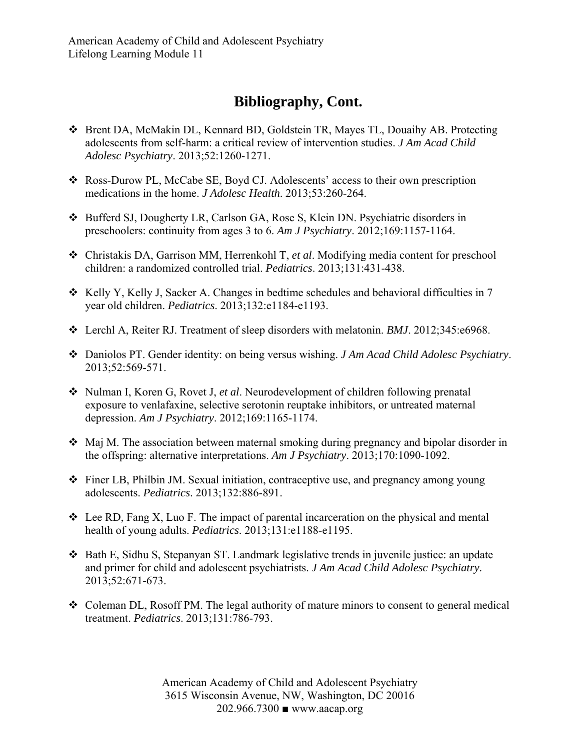## **Bibliography, Cont.**

- Brent DA, McMakin DL, Kennard BD, Goldstein TR, Mayes TL, Douaihy AB. Protecting adolescents from self-harm: a critical review of intervention studies. *J Am Acad Child Adolesc Psychiatry*. 2013;52:1260-1271.
- Ross-Durow PL, McCabe SE, Boyd CJ. Adolescents' access to their own prescription medications in the home. *J Adolesc Health*. 2013;53:260-264.
- Bufferd SJ, Dougherty LR, Carlson GA, Rose S, Klein DN. Psychiatric disorders in preschoolers: continuity from ages 3 to 6. *Am J Psychiatry*. 2012;169:1157-1164.
- Christakis DA, Garrison MM, Herrenkohl T, *et al*. Modifying media content for preschool children: a randomized controlled trial. *Pediatrics*. 2013;131:431-438.
- $\bullet$  Kelly Y, Kelly J, Sacker A. Changes in bedtime schedules and behavioral difficulties in 7 year old children. *Pediatrics*. 2013;132:e1184-e1193.
- Lerchl A, Reiter RJ. Treatment of sleep disorders with melatonin. *BMJ*. 2012;345:e6968.
- Daniolos PT. Gender identity: on being versus wishing. *J Am Acad Child Adolesc Psychiatry*. 2013;52:569-571.
- Nulman I, Koren G, Rovet J, *et al*. Neurodevelopment of children following prenatal exposure to venlafaxine, selective serotonin reuptake inhibitors, or untreated maternal depression. *Am J Psychiatry*. 2012;169:1165-1174.
- $\triangleleft$  Maj M. The association between maternal smoking during pregnancy and bipolar disorder in the offspring: alternative interpretations. *Am J Psychiatry*. 2013;170:1090-1092.
- Finer LB, Philbin JM. Sexual initiation, contraceptive use, and pregnancy among young adolescents. *Pediatrics*. 2013;132:886-891.
- $\triangleleft$  Lee RD, Fang X, Luo F. The impact of parental incarceration on the physical and mental health of young adults. *Pediatrics*. 2013;131:e1188-e1195.
- Bath E, Sidhu S, Stepanyan ST. Landmark legislative trends in juvenile justice: an update and primer for child and adolescent psychiatrists. *J Am Acad Child Adolesc Psychiatry*. 2013;52:671-673.
- Coleman DL, Rosoff PM. The legal authority of mature minors to consent to general medical treatment. *Pediatrics*. 2013;131:786-793.